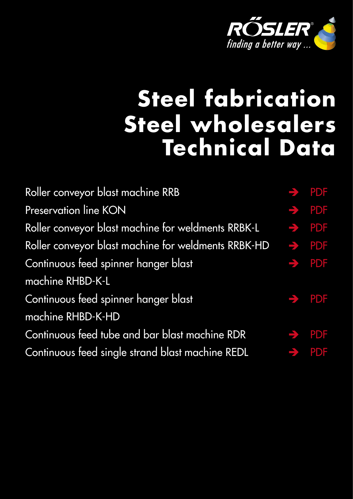

# <span id="page-0-0"></span>**Steel fabrication Steel wholesalers Technical Data**

| Roller conveyor blast machine RRB                                     | $\rightarrow$ PDF |
|-----------------------------------------------------------------------|-------------------|
| Preservation line KON                                                 | $\rightarrow$ PDF |
| Roller conveyor blast machine for weldments RRBK-L                    | $\rightarrow$ PDF |
| Roller conveyor blast machine for weldments RRBK-HD $\rightarrow$ PDF |                   |
| Continuous feed spinner hanger blast                                  | $\rightarrow$ PDF |
| machine RHBD-K-L                                                      |                   |
| Continuous feed spinner hanger blast                                  | $\rightarrow$ PDF |
| machine RHBD-K-HD                                                     |                   |
| Continuous feed tube and bar blast machine RDR                        | $\rightarrow$ PDF |
| Continuous feed single strand blast machine REDL                      | $\rightarrow$ PDF |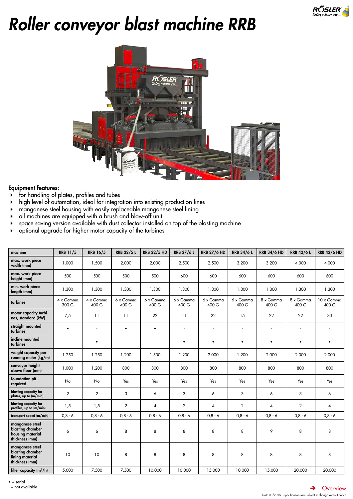

# <span id="page-1-0"></span>*Roller conveyor blast machine RRB*



# Equipment features:

- for handling of plates, profiles and tubes
- high level of automation, ideal for integration into existing production lines
- manganese steel housing with easily replaceable manganese steel lining
- all machines are equipped with a brush and blow-off unit
- space saving version available with dust collector installed on top of the blasting machine
- optional upgrade for higher motor capacity of the turbines

| machine                                                                   | <b>RRB 11/5</b>           | <b>RRB 16/5</b>    | <b>RRB 22/5 L</b>  | <b>RRB 22/5 HD</b> | <b>RRB 27/6 L</b>        | <b>RRB 27/6 HD</b>        | <b>RRB 34/6 L</b>  | <b>RRB 34/6 HD</b> | <b>RRB 42/6 L</b>  | <b>RRB 42/6 HD</b>      |
|---------------------------------------------------------------------------|---------------------------|--------------------|--------------------|--------------------|--------------------------|---------------------------|--------------------|--------------------|--------------------|-------------------------|
| max. work piece<br>width (mm)                                             | 1.000                     | 1.500              | 2.000              | 2.000              | 2.500                    | 2.500                     | 3.200              | 3.200              | 4.000              | 4.000                   |
| max. work piece<br>height (mm)                                            | 500                       | 500                | 500                | 500                | 600                      | 600                       | 600                | 600                | 600                | 600                     |
| min. work piece<br>length (mm)                                            | 1.300                     | 1.300              | 1.300              | 1.300              | 1.300                    | 1.300                     | 1.300              | 1.300              | 1.300              | 1.300                   |
| turbines                                                                  | $4 \times$ Gamma<br>300 G | 4 x Gamma<br>400 G | 6 x Gamma<br>400 G | 6 x Gamma<br>400 G | 6 x Gamma<br>400 G       | $6 \times$ Gamma<br>400 G | 6 x Gamma<br>400 G | 8 x Gamma<br>400 G | 8 x Gamma<br>400 G | 10 x Gamma<br>400 G     |
| motor capacity turbi-<br>nes, standard (kW)                               | 7,5                       | 11                 | 11                 | 22                 | 11                       | 22                        | 15                 | 22                 | 22                 | 30                      |
| straight mounted<br>turbines                                              | $\bullet$                 |                    | $\bullet$          | $\bullet$          | $\overline{\phantom{a}}$ | ÷,                        | ÷,                 | ×,                 | ÷,                 | ä,                      |
| incline mounted<br>turbines                                               |                           | $\bullet$          |                    | $\sim$             | $\bullet$                | $\bullet$                 | $\bullet$          | $\bullet$          | $\bullet$          | $\bullet$               |
| weight capacity per<br>running meter (kg/m)                               | 1.250                     | 1.250              | 1.200              | 1.500              | 1.200                    | 2.000                     | 1.200              | 2.000              | 2.000              | 2.000                   |
| conveyor height<br>above floor (mm)                                       | 1.000                     | 1.200              | 800                | 800                | 800                      | 800                       | 800                | 800                | 800                | 800                     |
| foundation pit<br>required                                                | <b>No</b>                 | No                 | Yes                | Yes                | Yes                      | Yes                       | Yes                | Yes                | Yes                | Yes                     |
| blasting capacity for<br>plates, up to (m/min)                            | $\overline{2}$            | $\overline{2}$     | 3                  | 6                  | 3                        | 6                         | 3                  | 6                  | 3                  | 6                       |
| blasting capacity for<br>profiles, up to (m/min)                          | 1,5                       | 1,5                | $\overline{2}$     | 4                  | $\overline{2}$           | 4                         | $\overline{2}$     | $\overline{4}$     | $\overline{2}$     | $\overline{\mathbf{4}}$ |
| transport speed (m/min)                                                   | $0,8 - 6$                 | $0.8 - 6$          | $0,8 - 6$          | $0.8 - 6$          | $0,8 - 6$                | $0,8 - 6$                 | $0,8 - 6$          | $0,8 - 6$          | $0.8 - 6$          | $0,8 - 6$               |
| manganese steel<br>blasting chamber<br>housing material<br>thickness (mm) | 6                         | 6                  | 8                  | 8                  | 8                        | 8                         | 8                  | 9                  | 8                  | 8                       |
| manganese steel<br>blasting chamber<br>lining material<br>thickness (mm)  | 10                        | 10                 | 8                  | 8                  | 8                        | 8                         | 8                  | 8                  | 8                  | 8                       |
| filter capacity $(m^3/h)$                                                 | 5.000                     | 7.500              | 7.500              | 10.000             | 10.000                   | 15.000                    | 10.000             | 15.000             | 20.000             | 20.000                  |

 $\bullet$  = serial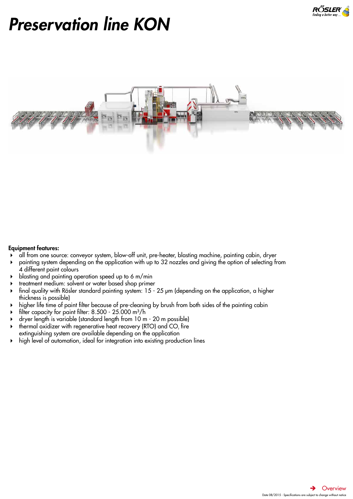

# <span id="page-2-0"></span>*Preservation line KON*



- all from one source: conveyor system, blow-off unit, pre-heater, blasting machine, painting cabin, dryer
- painting system depending on the application with up to 32 nozzles and giving the option of selecting from 4 different paint colours
- blasting and painting operation speed up to 6 m/min
- treatment medium: solvent or water based shop primer
- final quality with Rösler standard painting system: 15 25 μm (depending on the application, a higher thickness is possible)
- higher life time of paint filter because of pre-cleaning by brush from both sides of the painting cabin
- filter capacity for paint filter:  $8.500 25.000$  m<sup>3</sup>/h
- dryer length is variable (standard length from 10 m 20 m possible)
- $\blacktriangleright$  thermal oxidizer with regenerative heat recovery (RTO) and CO<sub>2</sub> fire extinguishing system are available depending on the application
- high level of automation, ideal for integration into existing production lines

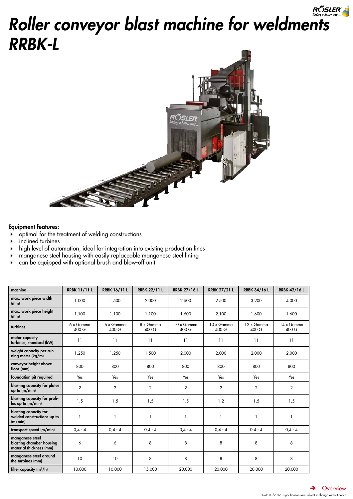# <span id="page-3-0"></span>RÖSLER *Roller conveyor blast machine for weldments RRBK-L*



- $\rightarrow$  optimal for the treatment of welding constructions
- inclined turbines
- high level of automation, ideal for integration into existing production lines
- manganese steel housing with easily replaceable manganese steel lining
- can be equipped with optional brush and blow-off unit

| machine                                                                | <b>RRBK 11/11L</b> | <b>RRBK 16/11L</b> | <b>RRBK 22/11 L</b> | <b>RRBK 27/16 L</b> | <b>RRBK 27/21 L</b> | <b>RRBK 34/16 L</b> | <b>RRBK 42/16 L</b> |
|------------------------------------------------------------------------|--------------------|--------------------|---------------------|---------------------|---------------------|---------------------|---------------------|
| max. work piece width<br>(mm)                                          | 1.000              | 1.500              | 2.000               | 2.500               | 2.500               | 3.200               | 4.000               |
| max. work piece height<br>(mm)                                         | 1.100              | 1.100              | 1.100               | 1.600               | 2.100               | 1.600               | 1.600               |
| turbines                                                               | 6 x Gamma<br>400 G | 6 x Gamma<br>400 G | 8 x Gamma<br>400 G  | 10 x Gamma<br>400 G | 10 x Gamma<br>400 G | 12 x Gamma<br>400 G | 14 x Gamma<br>400 G |
| motor capacity<br>turbines, standard (kW)                              | 11                 | 11                 | 11                  | 11                  | 11                  | 11                  | 11                  |
| weight capacity per run-<br>ning meter (kg/m)                          | 1.250              | 1.250              | 1.500               | 2.000               | 2.000               | 2.000               | 2.000               |
| conveyor height above<br>floor (mm)                                    | 800                | 800                | 800                 | 800                 | 800                 | 800                 | 800                 |
| foundation pit required                                                | Yes                | Yes                | Yes                 | Yes                 | Yes                 | Yes                 | Yes                 |
| blasting capacity for plates<br>up to $(m/min)$                        | $\overline{2}$     | $\overline{2}$     | $\overline{2}$      | $\overline{2}$      | $\overline{2}$      | $\overline{2}$      | $\overline{2}$      |
| blasting capacity for profi-<br>les up to (m/min)                      | 1,5                | 1,5                | 1,5                 | 1,5                 | 1,2                 | 1,5                 | 1,5                 |
| blasting capacity for<br>welded constructions up to<br>(m/min)         | 1                  |                    |                     |                     | 1                   |                     | 1                   |
| transport speed (m/min)                                                | $0,4 - 4$          | $0,4 - 4$          | $0.4 - 4$           | $0,4 - 4$           | $0,4 - 4$           | $0,4 - 4$           | $0,4 - 4$           |
| manganese steel<br>blasting chamber housing<br>material thickness (mm) | 6                  | 6                  | 8                   | 8                   | 8                   | 8                   | 8                   |
| manganese steel around<br>the turbines (mm)                            | 10                 | 10                 | 8                   | 8                   | 8                   | 8                   | 8                   |
| filter capacity $(m^3/h)$                                              | 10.000             | 10.000             | 15.000              | 20.000              | 20.000              | 20.000              | 20.000              |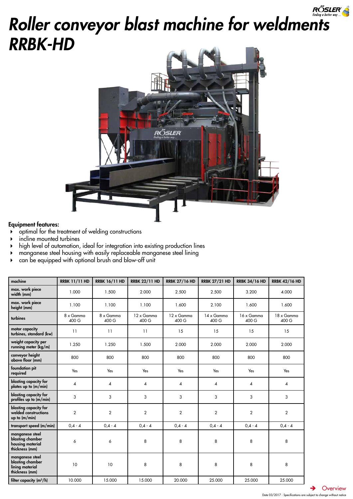# <span id="page-4-0"></span>RÕSLER *Roller conveyor blast machine for weldments RRBK-HD*



# Equipment features:

- $\rightarrow$  optimal for the treatment of welding constructions
- incline mounted turbines
- high level of automation, ideal for integration into existing production lines
- manganese steel housing with easily replaceable manganese steel lining
- can be equipped with optional brush and blow-off unit

| machine                                                                   | <b>RRBK 11/11 HD</b> | <b>RRBK 16/11 HD</b> | <b>RRBK 22/11 HD</b> | <b>RRBK 27/16 HD</b> | <b>RRBK 27/21 HD</b>    | <b>RRBK 34/16 HD</b> | <b>RRBK 42/16 HD</b> |
|---------------------------------------------------------------------------|----------------------|----------------------|----------------------|----------------------|-------------------------|----------------------|----------------------|
| max. work piece<br>width (mm)                                             | 1.000                | 1.500                | 2.000                | 2.500                | 2.500                   | 3.200                | 4.000                |
| max. work piece<br>height (mm)                                            | 1.100                | 1.100                | 1.100                | 1.600                | 2.100                   | 1.600                | 1.600                |
| turbines                                                                  | 8 x Gamma<br>400 G   | 8 x Gamma<br>400 G   | 12 x Gamma<br>400 G  | 12 x Gamma<br>400 G  | 14 x Gamma<br>400 G     | 16 x Gamma<br>400 G  | 18 x Gamma<br>400 G  |
| motor capacity<br>turbines, standard (kw)                                 | 11                   | 11                   | 11                   | 15                   | 15                      | 15                   | 15                   |
| weight capacity per<br>running meter (kg/m)                               | 1.250                | 1.250                | 1.500                | 2.000                | 2.000                   | 2.000                | 2.000                |
| conveyor height<br>above floor (mm)                                       | 800                  | 800                  | 800                  | 800                  | 800                     | 800                  | 800                  |
| foundation pit<br>required                                                | Yes                  | Yes                  | Yes                  | Yes                  | Yes                     | Yes                  | Yes                  |
| blasting capacity for<br>plates up to (m/min)                             | 4                    | 4                    | 4                    | 4                    | $\overline{\mathbf{A}}$ | 4                    | 4                    |
| blasting capacity for<br>profiles up to (m/min)                           | 3                    | 3                    | 3                    | 3                    | 3                       | 3                    | 3                    |
| blasting capacity for<br>welded constructions<br>up to $(m/min)$          | $\overline{2}$       | $\overline{2}$       | $\overline{2}$       | $\overline{2}$       | $\overline{2}$          | $\overline{2}$       | $\overline{2}$       |
| transport speed (m/min)                                                   | $0,4 - 4$            | $0,4 - 4$            | $0, 4 - 4$           | $0,4 - 4$            | $0.4 - 4$               | $0,4 - 4$            | $0,4 - 4$            |
| manganese steel<br>blasting chamber<br>housing material<br>thickness (mm) | 6                    | 6                    | 8                    | 8                    | 8                       | 8                    | 8                    |
| manganese steel<br>blasting chamber<br>lining material<br>thickness (mm)  | 10                   | 10                   | 8                    | 8                    | 8                       | 8                    | 8                    |
| filter capacity $(m^3/h)$                                                 | 10.000               | 15.000               | 15.000               | 20.000               | 25.000                  | 25.000               | 25.000               |

 $\rightarrow$  [Overview](#page-0-0)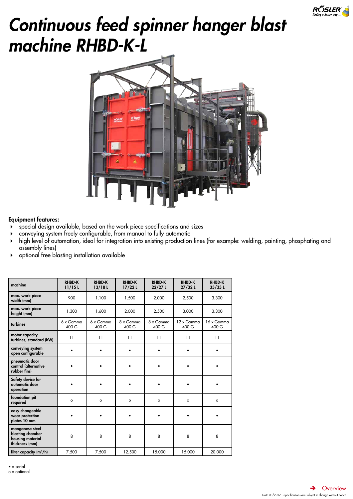

# <span id="page-5-0"></span>*Continuous feed spinner hanger blast machine RHBD-K-L*



# Equipment features:

- special design available, based on the work piece specifications and sizes
- conveying system freely configurable, from manual to fully automatic
- high level of automation, ideal for integration into existing production lines (for example: welding, painting, phosphating and assembly lines)
- optional free blasting installation available

| machine                                                                   | <b>RHBD-K</b><br>11/15L | <b>RHBD-K</b><br>13/18L | <b>RHBD-K</b><br>$17/22$ L | <b>RHBD-K</b><br>$22/27$ L | <b>RHBD-K</b><br>27/32L | <b>RHBD-K</b><br>$35/35$ L |
|---------------------------------------------------------------------------|-------------------------|-------------------------|----------------------------|----------------------------|-------------------------|----------------------------|
| max. work piece<br>width (mm)                                             | 900                     | 1.100                   | 1.500                      | 2.000                      | 2.500                   | 3.300                      |
| max. work piece<br>height (mm)                                            | 1.300                   | 1.600                   | 2.000                      | 2.500                      | 3.000                   | 3.300                      |
| turbines                                                                  | 6 x Gamma<br>400 G      | 6 x Gamma<br>400 G      | 8 x Gamma<br>400 G         | 8 x Gamma<br>400 G         | 12 x Gamma<br>400 G     | 16 x Gamma<br>400 G        |
| motor capacity<br>turbines, standard (kW)                                 | 11                      | 11                      | 11                         | 11                         | 11                      | 11                         |
| conveying system<br>open configurable                                     |                         |                         | ٠                          |                            |                         |                            |
| pneumatic door<br>control (alternative<br>rubber fins)                    |                         |                         | $\bullet$                  | ٠                          |                         |                            |
| Safety device for<br>automatic door<br>operation                          |                         | $\bullet$               | $\bullet$                  |                            |                         |                            |
| foundation pit<br>required                                                | $\circ$                 | $\circ$                 | $\circ$                    | $\circ$                    | $\circ$                 | $\circ$                    |
| easy changeable<br>wear protection<br>plates 10 mm                        |                         |                         |                            |                            |                         |                            |
| manganese steel<br>blasting chamber<br>housing material<br>thickness (mm) | 8                       | 8                       | 8                          | 8                          | 8                       | 8                          |
| filter capacity $(m^3/h)$                                                 | 7.500                   | 7.500                   | 12.500                     | 15.000                     | 15.000                  | 20.000                     |

 $• =$  serial

o = optional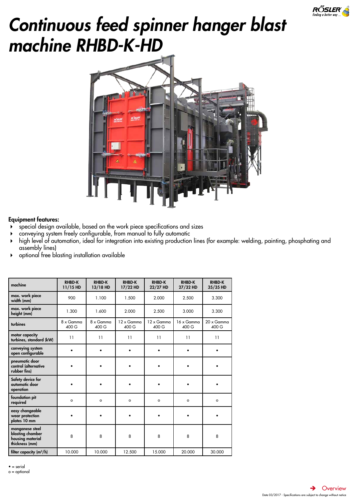

# <span id="page-6-0"></span>*Continuous feed spinner hanger blast machine RHBD-K-HD*



# Equipment features:

- special design available, based on the work piece specifications and sizes
- conveying system freely configurable, from manual to fully automatic
- high level of automation, ideal for integration into existing production lines (for example: welding, painting, phosphating and assembly lines)
- optional free blasting installation available

| machine                                                                   | <b>RHBD-K</b><br>11/15 HD | <b>RHBD-K</b><br>13/18 HD | <b>RHBD-K</b><br>17/22 HD | <b>RHBD-K</b><br>22/27 HD | <b>RHBD-K</b><br>27/32 HD | <b>RHBD-K</b><br>35/35 HD  |
|---------------------------------------------------------------------------|---------------------------|---------------------------|---------------------------|---------------------------|---------------------------|----------------------------|
| max. work piece<br>width (mm)                                             | 900                       | 1.100                     | 1.500                     | 2.000                     | 2.500                     | 3.300                      |
| max. work piece<br>height (mm)                                            | 1.300                     | 1.600                     | 2.000                     | 2.500                     | 3.000                     | 3.300                      |
| turbines                                                                  | 8 x Gamma<br>400 G        | 8 x Gamma<br>400 G        | 12 x Gamma<br>400 G       | 12 x Gamma<br>400 G       | 16 x Gamma<br>400 G       | $20 \times$ Gamma<br>400 G |
| motor capacity<br>turbines, standard (kW)                                 | 11                        | 11                        | 11                        | 11                        | 11                        | 11                         |
| conveying system<br>open configurable                                     |                           |                           | ٠                         |                           |                           |                            |
| pneumatic door<br>control (alternative<br>rubber fins)                    |                           |                           | ٠                         |                           |                           |                            |
| Safety device for<br>automatic door<br>operation                          |                           | $\bullet$                 | ٠                         |                           |                           |                            |
| foundation pit<br>required                                                | $\circ$                   | $\circ$                   | $\circ$                   | $\circ$                   | $\circ$                   | $\circ$                    |
| easy changeable<br>wear protection<br>plates 10 mm                        |                           |                           |                           |                           |                           |                            |
| manganese steel<br>blasting chamber<br>housing material<br>thickness (mm) | 8                         | 8                         | 8                         | 8                         | 8                         | 8                          |
| filter capacity $(m^3/h)$                                                 | 10.000                    | 10.000                    | 12.500                    | 15.000                    | 20.000                    | 30.000                     |

 $• =$  serial

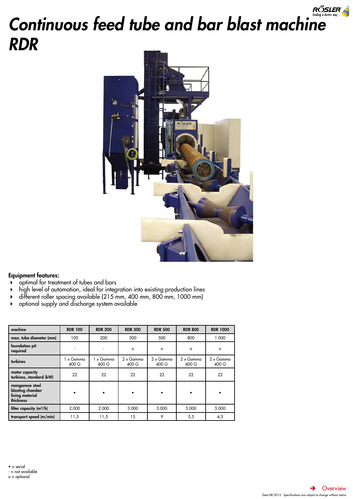# <span id="page-7-0"></span>RŐSLER *Continuous feed tube and bar blast machine RDR*



- optimal for treatment of tubes and bars
- high level of automation, ideal for integration into existing production lines
- different roller spacing available (215 mm, 400 mm, 800 mm, 1000 mm)
- optional supply and discharge system available

| machine                                                             | <b>RDR 100</b>     | <b>RDR 200</b>     | <b>RDR 300</b>     | <b>RDR 500</b>            | <b>RDR 800</b>            | <b>RDR 1000</b>           |
|---------------------------------------------------------------------|--------------------|--------------------|--------------------|---------------------------|---------------------------|---------------------------|
| max. tube diameter (mm)                                             | 100                | 200                | 300                | 500                       | 800                       | 1.000                     |
| foundation pit<br>required                                          |                    |                    | $\circ$            | $\circ$                   | $\circ$                   | $\circ$                   |
| turbines                                                            | 1 x Gamma<br>400 G | 1 x Gamma<br>400 G | 2 x Gamma<br>400 G | $2 \times$ Gamma<br>400 G | $2 \times$ Gamma<br>400 G | $2 \times$ Gamma<br>400 G |
| motor capacity<br>turbines, standard (kW)                           | 22                 | 22                 | 22                 | 22                        | 22                        | 22                        |
| manganese steel<br>blasting chamber<br>lining material<br>thickness |                    | ٠                  |                    |                           |                           |                           |
| filter capacity $(m^3/h)$                                           | 2.000              | 2.000              | 3.000              | 3.000                     | 5.000                     | 5.000                     |
| transport speed (m/min)                                             | 11,5               | 11,5               | 15                 | 9                         | 5,5                       | 4,5                       |

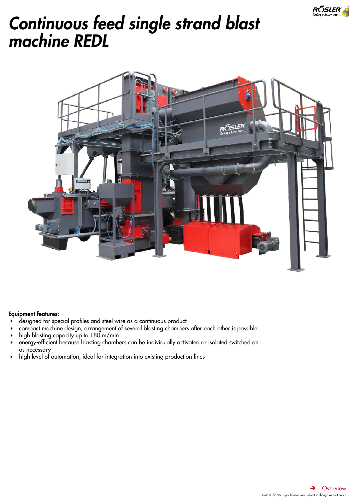

# <span id="page-8-0"></span>*Continuous feed single strand blast machine REDL*



- designed for special profiles and steel wire as a continuous product
- compact machine design, arrangement of several blasting chambers after each other is possible
- high blasting capacity up to 180 m/min
- energy-efficient because blasting chambers can be individually activated or isolated switched on as necessary
- high level of automation, ideal for integration into existing production lines